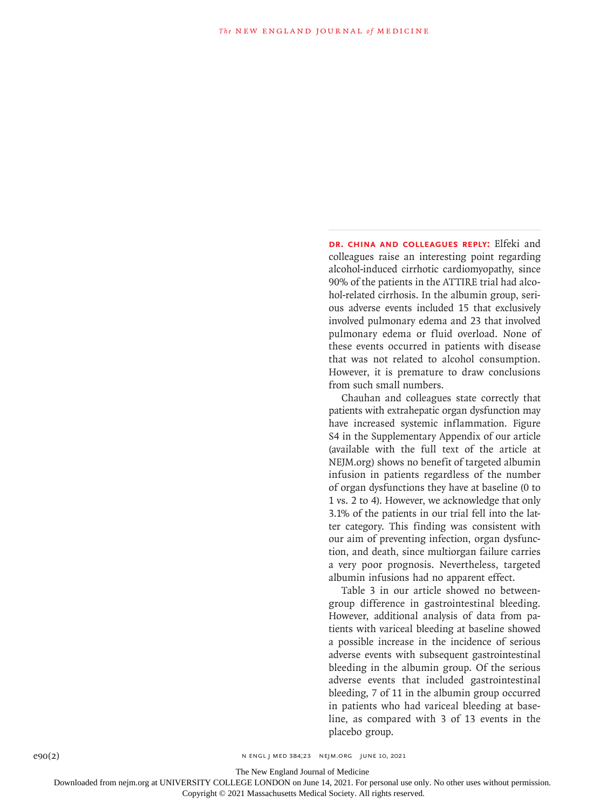**Dr. China and colleagues reply:** Elfeki and colleagues raise an interesting point regarding alcohol-induced cirrhotic cardiomyopathy, since 90% of the patients in the ATTIRE trial had alcohol-related cirrhosis. In the albumin group, serious adverse events included 15 that exclusively involved pulmonary edema and 23 that involved pulmonary edema or fluid overload. None of these events occurred in patients with disease that was not related to alcohol consumption. However, it is premature to draw conclusions from such small numbers.

Chauhan and colleagues state correctly that patients with extrahepatic organ dysfunction may have increased systemic inflammation. Figure S4 in the Supplementary Appendix of our article (available with the full text of the article at NEJM.org) shows no benefit of targeted albumin infusion in patients regardless of the number of organ dysfunctions they have at baseline (0 to 1 vs. 2 to 4). However, we acknowledge that only 3.1% of the patients in our trial fell into the latter category. This finding was consistent with our aim of preventing infection, organ dysfunction, and death, since multiorgan failure carries a very poor prognosis. Nevertheless, targeted albumin infusions had no apparent effect.

Table 3 in our article showed no betweengroup difference in gastrointestinal bleeding. However, additional analysis of data from patients with variceal bleeding at baseline showed a possible increase in the incidence of serious adverse events with subsequent gastrointestinal bleeding in the albumin group. Of the serious adverse events that included gastrointestinal bleeding, 7 of 11 in the albumin group occurred in patients who had variceal bleeding at baseline, as compared with 3 of 13 events in the placebo group.

The New England Journal of Medicine

Downloaded from nejm.org at UNIVERSITY COLLEGE LONDON on June 14, 2021. For personal use only. No other uses without permission.

Copyright © 2021 Massachusetts Medical Society. All rights reserved.